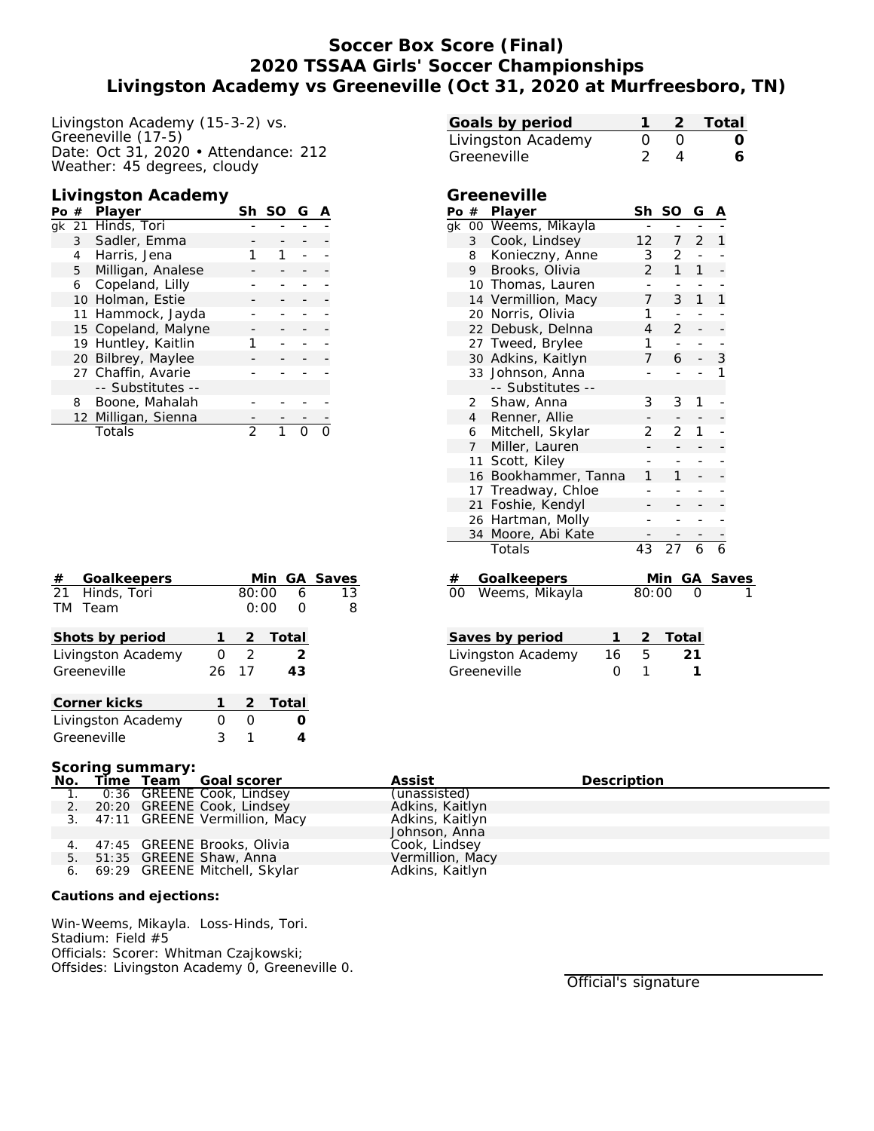# **Soccer Box Score (Final) 2020 TSSAA Girls' Soccer Championships Livingston Academy vs Greeneville (Oct 31, 2020 at Murfreesboro, TN)**

Livingston Academy (15-3-2) vs. Greeneville (17-5) Date: Oct 31, 2020 • Attendance: 212 Weather: 45 degrees, cloudy

#### **Livingston Academy**

| Po $#$ |   | Player              | Sh | SO. |  |
|--------|---|---------------------|----|-----|--|
|        |   | gk 21 Hinds, Tori   |    |     |  |
|        |   | 3 Sadler, Emma      |    |     |  |
|        |   | 4 Harris, Jena      |    |     |  |
|        | 5 | Milligan, Analese   |    |     |  |
|        | 6 | Copeland, Lilly     |    |     |  |
|        |   | 10 Holman, Estie    |    |     |  |
|        |   | 11 Hammock, Jayda   |    |     |  |
|        |   | 15 Copeland, Malyne |    |     |  |
|        |   | 19 Huntley, Kaitlin |    |     |  |
|        |   | 20 Bilbrey, Maylee  |    |     |  |
|        |   | 27 Chaffin, Avarie  |    |     |  |
|        |   | -- Substitutes --   |    |     |  |
|        | 8 | Boone, Mahalah      |    |     |  |
|        |   | 12 Milligan, Sienna |    |     |  |
|        |   | Totals              | 2  |     |  |

| #         | Goalkeepers        |    |       |       | Min GA Saves |
|-----------|--------------------|----|-------|-------|--------------|
|           | 21 Hinds, Tori     |    | 80:00 | 6     | 13           |
| <b>TM</b> | Team               |    | 0:00  |       | 8            |
|           |                    |    |       |       |              |
|           | Shots by period    |    | 2     | Total |              |
|           | Livingston Academy | Ω  | 2     | 2     |              |
|           | Greeneville        | 26 | 17    | 43    |              |
|           |                    |    |       |       |              |
|           | Corner kicks       |    | 2     | Total |              |
|           | Livingston Academy | Ω  | Ω     |       |              |
|           | Greeneville        | 3  |       |       |              |

**Scoring summary:**

| SCOLING SUITINGLY. |  |  |                                  |                  |             |  |
|--------------------|--|--|----------------------------------|------------------|-------------|--|
|                    |  |  | No. Time Team Goal scorer        | Assist           | Description |  |
| $\sim$ 1.          |  |  | 0:36 GREENE Cook, Lindsey        | (unassisted)     |             |  |
|                    |  |  | 2. 20:20 GREENE Cook, Lindsey    | Adkins, Kaitlyn  |             |  |
|                    |  |  | 3. 47:11 GREENE Vermillion, Macy | Adkins, Kaitlyn  |             |  |
|                    |  |  |                                  | Johnson, Anna    |             |  |
|                    |  |  | 4. 47:45 GREENE Brooks, Olivia   | Cook, Lindsey    |             |  |
|                    |  |  | 5. 51:35 GREENE Shaw, Anna       | Vermillion, Macy |             |  |
|                    |  |  | 6. 69:29 GREENE Mitchell, Skylar | Adkins, Kaitlyn  |             |  |
|                    |  |  |                                  |                  |             |  |

**Cautions and ejections:**

Win-Weems, Mikayla. Loss-Hinds, Tori. Stadium: Field #5 Officials: Scorer: Whitman Czajkowski; Offsides: Livingston Academy 0, Greeneville 0.

| Goals by period          |                     |                             |                          |                                  |                | Total          |  |
|--------------------------|---------------------|-----------------------------|--------------------------|----------------------------------|----------------|----------------|--|
| Livingston Academy       |                     |                             | O                        | $\overline{0}$                   |                |                |  |
| Greeneville              |                     |                             | $\overline{2}$           | 4                                |                | 6              |  |
|                          |                     |                             |                          |                                  |                |                |  |
|                          |                     | Greeneville                 |                          |                                  |                |                |  |
| Po #                     |                     | Player                      | Sh                       | SO                               | G              |                |  |
| $\overline{g}$ k         |                     | 00 Weems, Mikayla           |                          |                                  |                |                |  |
|                          | 3                   | Cook, Lindsey               | 12                       | 7                                | $\overline{2}$ | 1              |  |
|                          | 8                   | Konieczny, Anne             | 3                        | $\overline{2}$                   | $\blacksquare$ |                |  |
|                          | 9                   | Brooks, Olivia              | $\overline{2}$           | 1                                | 1              |                |  |
|                          |                     | 10 Thomas, Lauren           | $\overline{\phantom{a}}$ | $\blacksquare$                   | ÷,             | -              |  |
|                          |                     | 14 Vermillion, Macy         | 7                        | 3                                | 1              | 1              |  |
|                          |                     | 20 Norris, Olivia           | 1                        | ÷,                               | L.             | $\overline{a}$ |  |
|                          |                     | 22 Debusk, Delnna           | 4                        | 2                                |                |                |  |
|                          |                     | 27 Tweed, Brylee            | 1                        | $\overline{\phantom{0}}$         | -              | -              |  |
|                          |                     | 30 Adkins, Kaitlyn          | 7                        | 6                                |                | 3              |  |
|                          | 33                  | Johnson, Anna               | ÷,                       | ÷,                               | -              | 1              |  |
|                          |                     | -- Substitutes --           |                          |                                  |                |                |  |
|                          | 2<br>$\overline{4}$ | Shaw, Anna<br>Renner, Allie | 3                        | 3                                | 1              |                |  |
|                          | 6                   | Mitchell, Skylar            | 2                        | 2                                | 1              | -              |  |
|                          | 7 <sup>7</sup>      | Miller, Lauren              |                          |                                  |                |                |  |
|                          | 11                  | Scott, Kiley                | ÷,                       | ÷,                               | ÷,             | -              |  |
|                          |                     | 16 Bookhammer, Tanna        | 1                        | 1                                |                |                |  |
|                          |                     | 17 Treadway, Chloe          | $\overline{a}$           |                                  |                |                |  |
|                          | 21                  | Foshie, Kendyl              |                          |                                  |                |                |  |
|                          |                     | 26 Hartman, Molly           |                          |                                  |                |                |  |
|                          | 34                  | Moore, Abi Kate             |                          |                                  |                |                |  |
|                          |                     | Totals                      | 43                       | 27                               | 6              | 6              |  |
|                          |                     |                             |                          |                                  |                |                |  |
| #<br>$\overline{00}$     |                     | Goalkeepers                 | 80:00                    | $\frac{\text{Min GA}}{\text{O}}$ |                |                |  |
|                          |                     | Weems, Mikayla              |                          |                                  |                |                |  |
|                          |                     |                             |                          |                                  |                |                |  |
|                          |                     | Saves by period<br>1        | 2                        | Total                            |                |                |  |
| Livingston Academy<br>16 |                     |                             | 5                        |                                  | 21             |                |  |
| Greeneville<br>0         |                     |                             | 1                        |                                  | 1              |                |  |
|                          |                     |                             |                          |                                  |                |                |  |
|                          |                     |                             |                          |                                  |                |                |  |
|                          |                     |                             |                          |                                  |                |                |  |
|                          |                     |                             |                          |                                  |                |                |  |
|                          |                     |                             |                          |                                  |                |                |  |
|                          |                     |                             |                          |                                  |                |                |  |
|                          |                     | <b>Description</b>          |                          |                                  |                |                |  |
| ted)                     |                     |                             |                          |                                  |                |                |  |
|                          | aith <i>i</i> n     |                             |                          |                                  |                |                |  |

Official's signature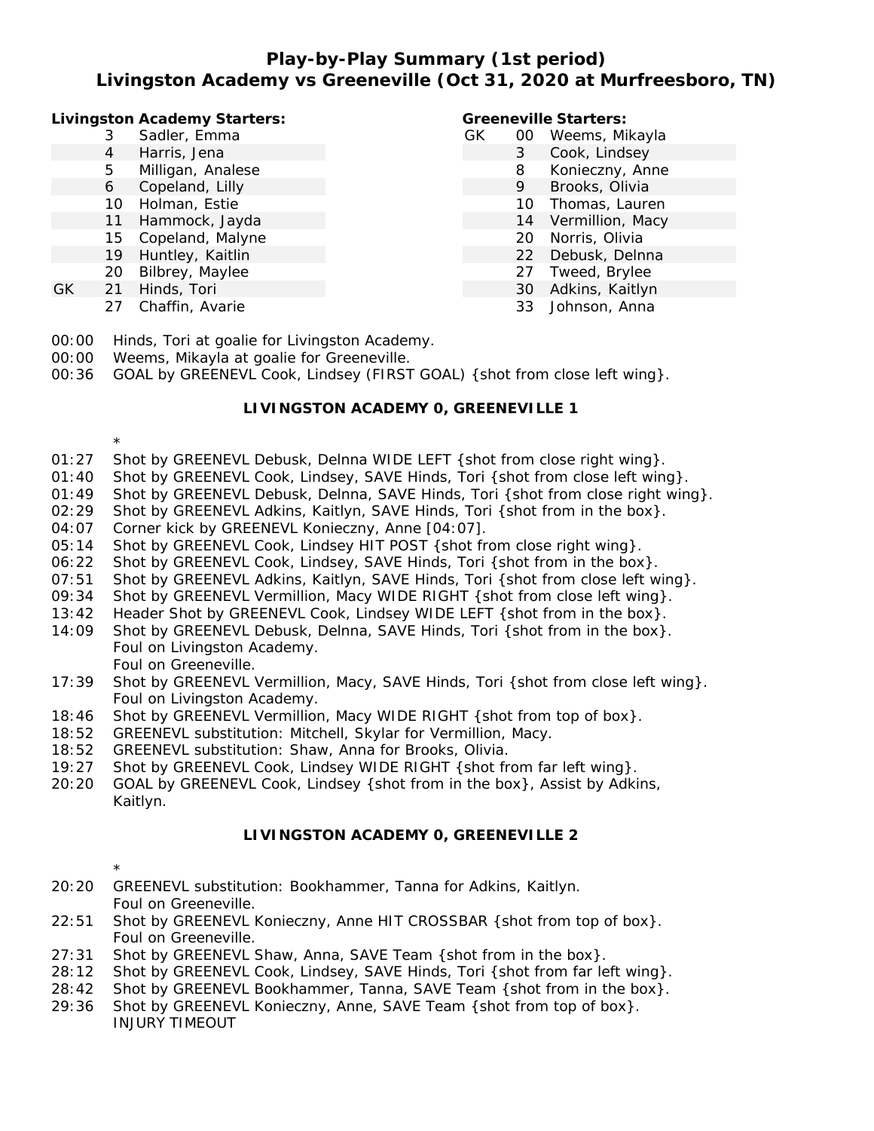# **Play-by-Play Summary (1st period) Livingston Academy vs Greeneville (Oct 31, 2020 at Murfreesboro, TN)**

**Livingston Academy Starters:**

- 3 Sadler, Emma
- 4 Harris, Jena
- 5 Milligan, Analese
- 6 Copeland, Lilly
- 10 Holman, Estie
- 11 Hammock, Jayda
- 15 Copeland, Malyne
- 19 Huntley, Kaitlin
- 20 Bilbrey, Maylee
- GK 21 Hinds, Tori

\*

\*

27 Chaffin, Avarie

#### **Greeneville Starters:**

| GK | UU | Weems, Mikayla   |
|----|----|------------------|
|    | 3  | Cook, Lindsey    |
|    | 8  | Konieczny, Anne  |
|    | 9  | Brooks, Olivia   |
|    | 10 | Thomas, Lauren   |
|    | 14 | Vermillion, Macy |
|    | 20 | Norris, Olivia   |
|    | 22 | Debusk, Delnna   |
|    | 27 | Tweed, Brylee    |
|    | 30 | Adkins, Kaitlyn  |
|    | 33 | Johnson, Anna    |

- 00:00 Hinds, Tori at goalie for Livingston Academy.
- 00:00 Weems, Mikayla at goalie for Greeneville.
- 00:36 GOAL by GREENEVL Cook, Lindsey (FIRST GOAL) { shot from close left wing}.

### **LIVINGSTON ACADEMY 0, GREENEVILLE 1**

- 01:27 Shot by GREENEVL Debusk, Delnna WIDE LEFT { shot from close right wing }.
- 01:40 Shot by GREENEVL Cook, Lindsey, SAVE Hinds, Tori {shot from close left wing}.
- 01:49 Shot by GREENEVL Debusk, Delnna, SAVE Hinds, Tori {shot from close right wing}.
- 02:29 Shot by GREENEVL Adkins, Kaitlyn, SAVE Hinds, Tori {shot from in the box}.
- 04:07 Corner kick by GREENEVL Konieczny, Anne [04:07].
- 05:14 Shot by GREENEVL Cook, Lindsey HIT POST { shot from close right wing }.
- 06:22 Shot by GREENEVL Cook, Lindsey, SAVE Hinds, Tori {shot from in the box}.
- 07:51 Shot by GREENEVL Adkins, Kaitlyn, SAVE Hinds, Tori {shot from close left wing}.
- 09:34 Shot by GREENEVL Vermillion, Macy WIDE RIGHT { shot from close left wing}.
- 13:42 Header Shot by GREENEVL Cook, Lindsey WIDE LEFT {shot from in the box}.
- 14:09 Shot by GREENEVL Debusk, Delnna, SAVE Hinds, Tori {shot from in the box}. Foul on Livingston Academy. Foul on Greeneville.
- 17:39 Shot by GREENEVL Vermillion, Macy, SAVE Hinds, Tori {shot from close left wing}. Foul on Livingston Academy.
- 18:46 Shot by GREENEVL Vermillion, Macy WIDE RIGHT { shot from top of box}.
- 18:52 GREENEVL substitution: Mitchell, Skylar for Vermillion, Macy.
- 18:52 GREENEVL substitution: Shaw, Anna for Brooks, Olivia.
- 19:27 Shot by GREENEVL Cook, Lindsey WIDE RIGHT {shot from far left wing}.
- 20:20 GOAL by GREENEVL Cook, Lindsey {shot from in the box}, Assist by Adkins, Kaitlyn.

## **LIVINGSTON ACADEMY 0, GREENEVILLE 2**

- 20:20 GREENEVL substitution: Bookhammer, Tanna for Adkins, Kaitlyn. Foul on Greeneville.
- 22:51 Shot by GREENEVL Konieczny, Anne HIT CROSSBAR {shot from top of box}. Foul on Greeneville.
- 27:31 Shot by GREENEVL Shaw, Anna, SAVE Team {shot from in the box}.
- 28:12 Shot by GREENEVL Cook, Lindsey, SAVE Hinds, Tori {shot from far left wing}.
- 28:42 Shot by GREENEVL Bookhammer, Tanna, SAVE Team {shot from in the box}.
- 29:36 Shot by GREENEVL Konieczny, Anne, SAVE Team {shot from top of box}. INJURY TIMEOUT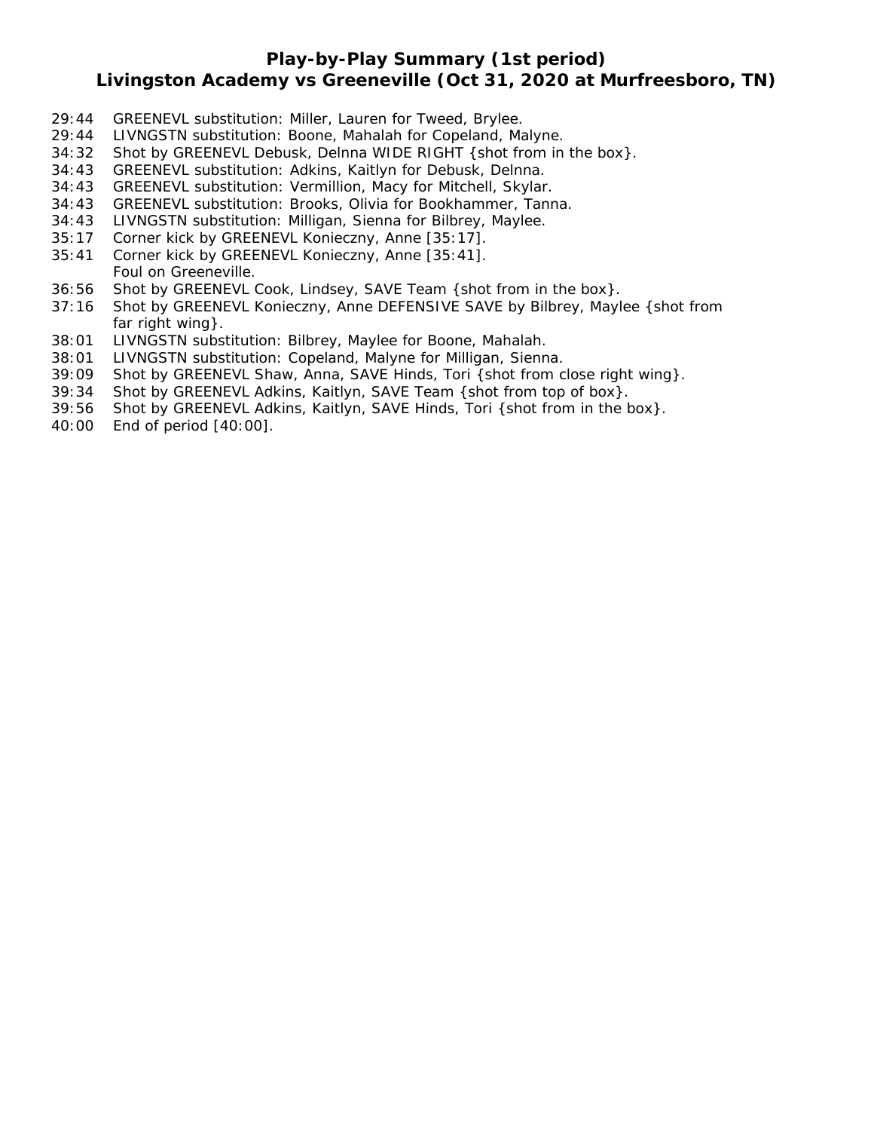## **Play-by-Play Summary (1st period)**

## **Livingston Academy vs Greeneville (Oct 31, 2020 at Murfreesboro, TN)**

- 29:44 GREENEVL substitution: Miller, Lauren for Tweed, Brylee.
- 29:44 LIVNGSTN substitution: Boone, Mahalah for Copeland, Malyne.
- 34:32 Shot by GREENEVL Debusk, Delnna WIDE RIGHT {shot from in the box}.
- 34:43 GREENEVL substitution: Adkins, Kaitlyn for Debusk, Delnna.
- 34:43 GREENEVL substitution: Vermillion, Macy for Mitchell, Skylar.
- 34:43 GREENEVL substitution: Brooks, Olivia for Bookhammer, Tanna.
- 34:43 LIVNGSTN substitution: Milligan, Sienna for Bilbrey, Maylee.
- 35:17 Corner kick by GREENEVL Konieczny, Anne [35:17].
- 35:41 Corner kick by GREENEVL Konieczny, Anne [35:41]. Foul on Greeneville.
- 36:56 Shot by GREENEVL Cook, Lindsey, SAVE Team {shot from in the box}.
- 37:16 Shot by GREENEVL Konieczny, Anne DEFENSIVE SAVE by Bilbrey, Maylee {shot from far right wing}.
- 38:01 LIVNGSTN substitution: Bilbrey, Maylee for Boone, Mahalah.
- 38:01 LIVNGSTN substitution: Copeland, Malyne for Milligan, Sienna.
- 39:09 Shot by GREENEVL Shaw, Anna, SAVE Hinds, Tori {shot from close right wing}.
- 39:34 Shot by GREENEVL Adkins, Kaitlyn, SAVE Team {shot from top of box}.
- 39:56 Shot by GREENEVL Adkins, Kaitlyn, SAVE Hinds, Tori {shot from in the box}.
- 40:00 End of period [40:00].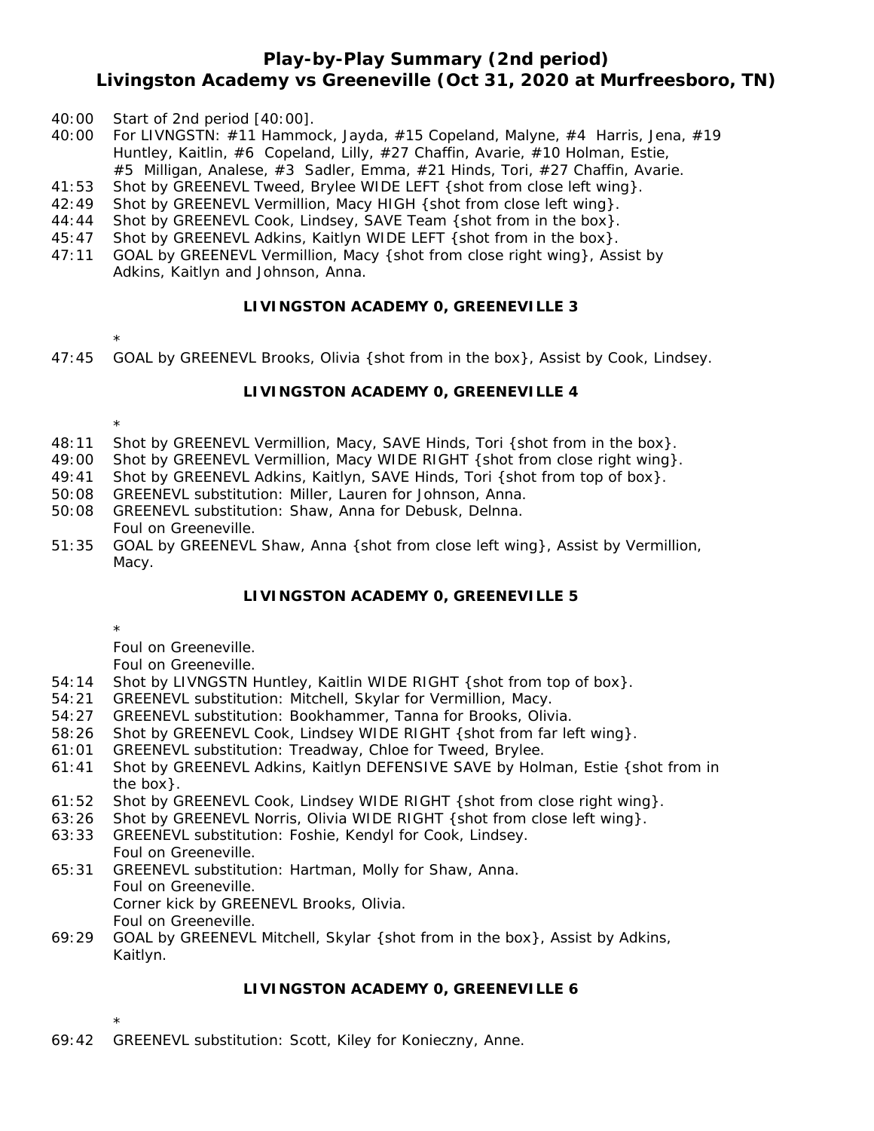## **Play-by-Play Summary (2nd period) Livingston Academy vs Greeneville (Oct 31, 2020 at Murfreesboro, TN)**

- 40:00 Start of 2nd period [40:00].
- 40:00 For LIVNGSTN: #11 Hammock, Jayda, #15 Copeland, Malyne, #4 Harris, Jena, #19 Huntley, Kaitlin, #6 Copeland, Lilly, #27 Chaffin, Avarie, #10 Holman, Estie, #5 Milligan, Analese, #3 Sadler, Emma, #21 Hinds, Tori, #27 Chaffin, Avarie.
- 41:53 Shot by GREENEVL Tweed, Brylee WIDE LEFT { shot from close left wing }.
- 42:49 Shot by GREENEVL Vermillion, Macy HIGH {shot from close left wing}.
- 44:44 Shot by GREENEVL Cook, Lindsey, SAVE Team {shot from in the box}.
- 45:47 Shot by GREENEVL Adkins, Kaitlyn WIDE LEFT {shot from in the box}.
- 47:11 GOAL by GREENEVL Vermillion, Macy {shot from close right wing}, Assist by Adkins, Kaitlyn and Johnson, Anna.

#### **LIVINGSTON ACADEMY 0, GREENEVILLE 3**

- \*
- 47:45 GOAL by GREENEVL Brooks, Olivia {shot from in the box}, Assist by Cook, Lindsey.

#### **LIVINGSTON ACADEMY 0, GREENEVILLE 4**

\*

- 48:11 Shot by GREENEVL Vermillion, Macy, SAVE Hinds, Tori {shot from in the box}.
- 49:00 Shot by GREENEVL Vermillion, Macy WIDE RIGHT {shot from close right wing}.
- 49:41 Shot by GREENEVL Adkins, Kaitlyn, SAVE Hinds, Tori {shot from top of box}.
- 50:08 GREENEVL substitution: Miller, Lauren for Johnson, Anna.
- 50:08 GREENEVL substitution: Shaw, Anna for Debusk, Delnna. Foul on Greeneville.
- 51:35 GOAL by GREENEVL Shaw, Anna {shot from close left wing}, Assist by Vermillion, Macy.

### **LIVINGSTON ACADEMY 0, GREENEVILLE 5**

\*

Foul on Greeneville.

Foul on Greeneville.

- 54:14 Shot by LIVNGSTN Huntley, Kaitlin WIDE RIGHT {shot from top of box}.
- 54:21 GREENEVL substitution: Mitchell, Skylar for Vermillion, Macy.
- 54:27 GREENEVL substitution: Bookhammer, Tanna for Brooks, Olivia.
- 58:26 Shot by GREENEVL Cook, Lindsey WIDE RIGHT {shot from far left wing}.
- 61:01 GREENEVL substitution: Treadway, Chloe for Tweed, Brylee.
- 61:41 Shot by GREENEVL Adkins, Kaitlyn DEFENSIVE SAVE by Holman, Estie {shot from in the box}.
- 61:52 Shot by GREENEVL Cook, Lindsey WIDE RIGHT {shot from close right wing}.
- 63:26 Shot by GREENEVL Norris, Olivia WIDE RIGHT {shot from close left wing}.
- 63:33 GREENEVL substitution: Foshie, Kendyl for Cook, Lindsey. Foul on Greeneville.
- 65:31 GREENEVL substitution: Hartman, Molly for Shaw, Anna. Foul on Greeneville. Corner kick by GREENEVL Brooks, Olivia. Foul on Greeneville.
- 69:29 GOAL by GREENEVL Mitchell, Skylar {shot from in the box}, Assist by Adkins, Kaitlyn.

### **LIVINGSTON ACADEMY 0, GREENEVILLE 6**

\* 69:42 GREENEVL substitution: Scott, Kiley for Konieczny, Anne.